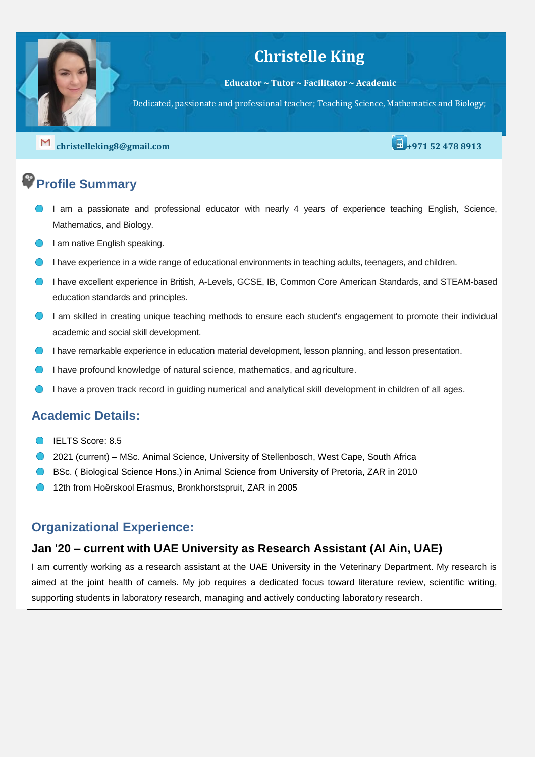## **Christelle King**

**Educator ~ Tutor ~ Facilitator ~ Academic**

Dedicated, passionate and professional teacher; Teaching Science, Mathematics and Biology;

**[christelleking8@gmail.com](mailto:christelleking8@gmail.com) +971 52 478 8913** 

# **Profile Summary**

- I am a passionate and professional educator with nearly 4 years of experience teaching English, Science, Mathematics, and Biology.
- **I** am native English speaking.
- I have experience in a wide range of educational environments in teaching adults, teenagers, and children.
- I have excellent experience in British, A-Levels, GCSE, IB, Common Core American Standards, and STEAM-based education standards and principles.
- I am skilled in creating unique teaching methods to ensure each student's engagement to promote their individual academic and social skill development.
- **I have remarkable experience in education material development, lesson planning, and lesson presentation.**
- I have profound knowledge of natural science, mathematics, and agriculture.
- I have a proven track record in guiding numerical and analytical skill development in children of all ages.

### **Academic Details:**

- IELTS Score: 8.5
- 2021 (current) MSc. Animal Science, University of Stellenbosch, West Cape, South Africa
- **BSc. (Biological Science Hons.) in Animal Science from University of Pretoria, ZAR in 2010**
- 12th from Hoërskool Erasmus, Bronkhorstspruit, ZAR in 2005

### **Organizational Experience:**

### **Jan '20 – current with UAE University as Research Assistant (Al Ain, UAE)**

I am currently working as a research assistant at the UAE University in the Veterinary Department. My research is aimed at the joint health of camels. My job requires a dedicated focus toward literature review, scientific writing, supporting students in laboratory research, managing and actively conducting laboratory research.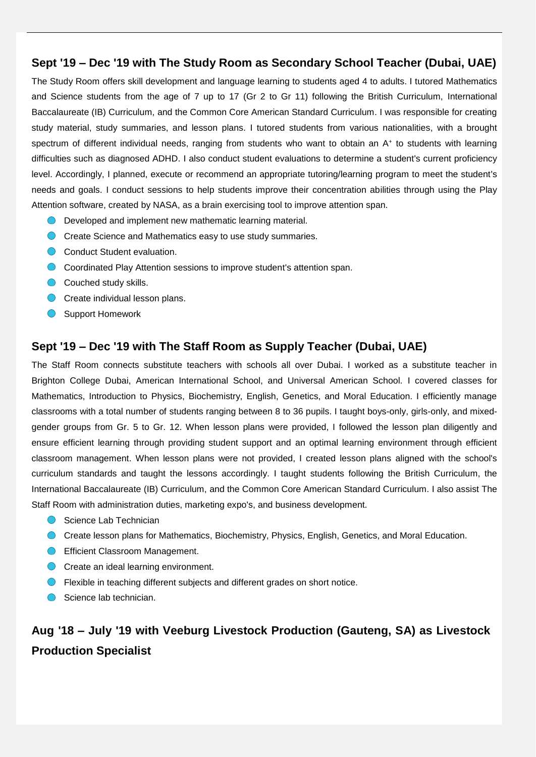### **Sept '19 – Dec '19 with The Study Room as Secondary School Teacher (Dubai, UAE)**

The Study Room offers skill development and language learning to students aged 4 to adults. I tutored Mathematics and Science students from the age of 7 up to 17 (Gr 2 to Gr 11) following the British Curriculum, International Baccalaureate (IB) Curriculum, and the Common Core American Standard Curriculum. I was responsible for creating study material, study summaries, and lesson plans. I tutored students from various nationalities, with a brought spectrum of different individual needs, ranging from students who want to obtain an A<sup>+</sup> to students with learning difficulties such as diagnosed ADHD. I also conduct student evaluations to determine a student's current proficiency level. Accordingly, I planned, execute or recommend an appropriate tutoring/learning program to meet the student's needs and goals. I conduct sessions to help students improve their concentration abilities through using the Play Attention software, created by NASA, as a brain exercising tool to improve attention span.

- **O** Developed and implement new mathematic learning material.
- **C** Create Science and Mathematics easy to use study summaries.
- Conduct Student evaluation.
- **C** Coordinated Play Attention sessions to improve student's attention span.
- Couched study skills.
- Create individual lesson plans.
- Support Homework

#### **Sept '19 – Dec '19 with The Staff Room as Supply Teacher (Dubai, UAE)**

The Staff Room connects substitute teachers with schools all over Dubai. I worked as a substitute teacher in Brighton College Dubai, American International School, and Universal American School. I covered classes for Mathematics, Introduction to Physics, Biochemistry, English, Genetics, and Moral Education. I efficiently manage classrooms with a total number of students ranging between 8 to 36 pupils. I taught boys-only, girls-only, and mixedgender groups from Gr. 5 to Gr. 12. When lesson plans were provided, I followed the lesson plan diligently and ensure efficient learning through providing student support and an optimal learning environment through efficient classroom management. When lesson plans were not provided, I created lesson plans aligned with the school's curriculum standards and taught the lessons accordingly. I taught students following the British Curriculum, the International Baccalaureate (IB) Curriculum, and the Common Core American Standard Curriculum. I also assist The Staff Room with administration duties, marketing expo's, and business development.

- Science Lab Technician
- **Create lesson plans for Mathematics, Biochemistry, Physics, English, Genetics, and Moral Education.**
- **C** Efficient Classroom Management.
- **C** Create an ideal learning environment.
- **•** Flexible in teaching different subjects and different grades on short notice.
- Science lab technician.

### **Aug '18 – July '19 with Veeburg Livestock Production (Gauteng, SA) as Livestock Production Specialist**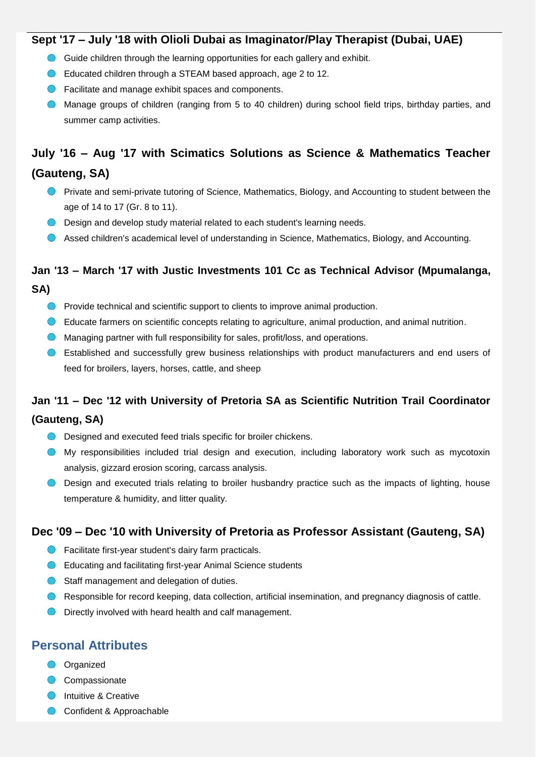### **Sept '17 – July '18 with Olioli Dubai as Imaginator/Play Therapist (Dubai, UAE)**

- Guide children through the learning opportunities for each gallery and exhibit.
- **C** Educated children through a STEAM based approach, age 2 to 12.
- **C** Facilitate and manage exhibit spaces and components.
- Manage groups of children (ranging from 5 to 40 children) during school field trips, birthday parties, and summer camp activities.

# **July '16 – Aug '17 with Scimatics Solutions as Science & Mathematics Teacher**

### **(Gauteng, SA)**

- **Private and semi-private tutoring of Science, Mathematics, Biology, and Accounting to student between the** age of 14 to 17 (Gr. 8 to 11).
- O Design and develop study material related to each student's learning needs.
- Assed children's academical level of understanding in Science, Mathematics, Biology, and Accounting.

# **Jan '13 – March '17 with Justic Investments 101 Cc as Technical Advisor (Mpumalanga,**

- **SA)**
	- **O** Provide technical and scientific support to clients to improve animal production.
	- Educate farmers on scientific concepts relating to agriculture, animal production, and animal nutrition.
	- **C** Managing partner with full responsibility for sales, profit/loss, and operations.
	- Established and successfully grew business relationships with product manufacturers and end users of feed for broilers, layers, horses, cattle, and sheep

### **Jan '11 – Dec '12 with University of Pretoria SA as Scientific Nutrition Trail Coordinator (Gauteng, SA)**

- **O** Designed and executed feed trials specific for broiler chickens.
- My responsibilities included trial design and execution, including laboratory work such as mycotoxin analysis, gizzard erosion scoring, carcass analysis.
- **O** Design and executed trials relating to broiler husbandry practice such as the impacts of lighting, house temperature & humidity, and litter quality.

### **Dec '09 – Dec '10 with University of Pretoria as Professor Assistant (Gauteng, SA)**

- **O** Facilitate first-year student's dairy farm practicals.
- **C** Educating and facilitating first-year Animal Science students
- **O** Staff management and delegation of duties.
- **C** Responsible for record keeping, data collection, artificial insemination, and pregnancy diagnosis of cattle.
- **O** Directly involved with heard health and calf management.

### **Personal Attributes**

- **O** Organized
- Compassionate
- **Intuitive & Creative**
- Confident & Approachable